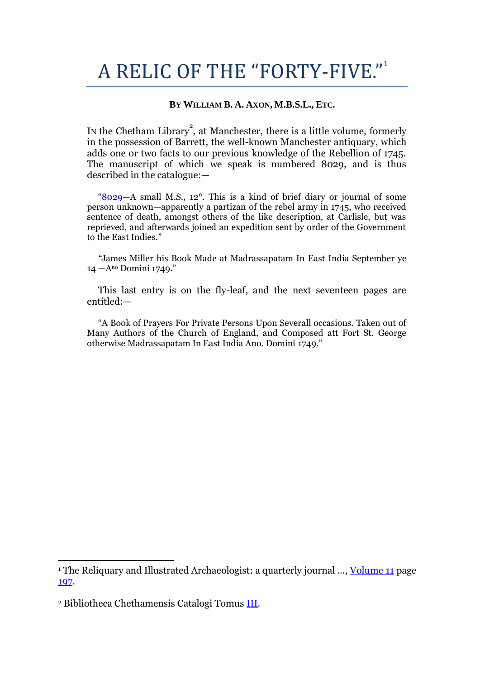## A RELIC OF THE "FORTY-FIVE."

## **BY WILLIAM B. A. AXON, M.B.S.L., ETC.**

In the Chetham Library<sup>2</sup>, at Manchester, there is a little volume, formerly in the possession of Barrett, the well-known Manchester antiquary, which adds one or two facts to our previous knowledge of the Rebellion of 1745. The manuscript of which we speak is numbered 8029, and is thus described in the catalogue:—

"[8029](http://books.google.com/books?id=FZgQAAAAIAAJ&dq=Chetham%20Library%208029&pg=PA174#v=onepage&q&f=false)—A small M.S., 12°. This is a kind of brief diary or journal of some person unknown—apparently a partizan of the rebel army in 1745, who received sentence of death, amongst others of the like description, at Carlisle, but was reprieved, and afterwards joined an expedition sent by order of the Government to the East Indies."

*"*James Miller his Book Made at Madrassapatam In East India September ye 14 —Ano Domini 1749."

This last entry is on the fly-leaf, and the next seventeen pages are entitled:—

"A Book of Prayers For Private Persons Upon Severall occasions. Taken out of Many Authors of the Church of England, and Composed att Fort St. George otherwise Madrassapatam In East India Ano. Domini 1749."

1

<sup>&</sup>lt;sup>1</sup> The Reliquary and Illustrated Archaeologist: a quarterly journal ..., *Volume* 11 page [197.](http://books.google.com/books?id=hZc1AAAAMAAJ&lpg=PA197&ots=iNl44mdpE1&dq=diary%20%22James%20Miller%22%201749%20manchester&pg=PA197#v=onepage&q&f=false)

<sup>2</sup> Bibliotheca Chethamensis Catalogi Tomus [III.](http://books.google.com/books?id=FZgQAAAAIAAJ)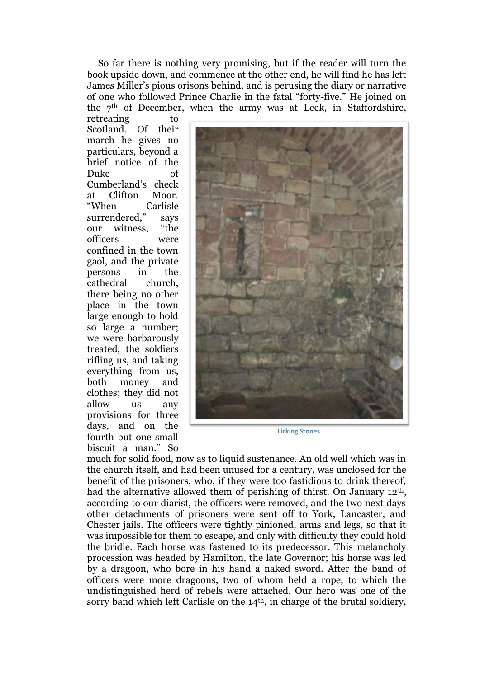So far there is nothing very promising, but if the reader will turn the book upside down, and commence at the other end, he will find he has left James Miller"s pious orisons behind, and is perusing the diary or narrative of one who followed Prince Charlie in the fatal "forty-five." He joined on the 7th of December, when the army was at Leek, in Staffordshire,

retreating to Scotland. Of their march he gives no particulars, beyond a brief notice of the Duke of Cumberland"s check at Clifton Moor. "When Carlisle surrendered," savs our witness, "the officers were confined in the town gaol, and the private persons in the cathedral church, there being no other place in the town large enough to hold so large a number; we were barbarously treated, the soldiers rifling us, and taking everything from us, both money and clothes; they did not allow us any provisions for three days, and on the fourth but one small biscuit a man." So



**Licking Stones**

much for solid food, now as to liquid sustenance. An old well which was in the church itself, and had been unused for a century, was unclosed for the benefit of the prisoners, who, if they were too fastidious to drink thereof, had the alternative allowed them of perishing of thirst. On January 12<sup>th</sup>, according to our diarist, the officers were removed, and the two next days other detachments of prisoners were sent off to York, Lancaster, and Chester jails. The officers were tightly pinioned, arms and legs, so that it was impossible for them to escape, and only with difficulty they could hold the bridle. Each horse was fastened to its predecessor. This melancholy procession was headed by Hamilton, the late Governor; his horse was led by a dragoon, who bore in his hand a naked sword. After the band of officers were more dragoons, two of whom held a rope, to which the undistinguished herd of rebels were attached. Our hero was one of the sorry band which left Carlisle on the  $14<sup>th</sup>$ , in charge of the brutal soldiery,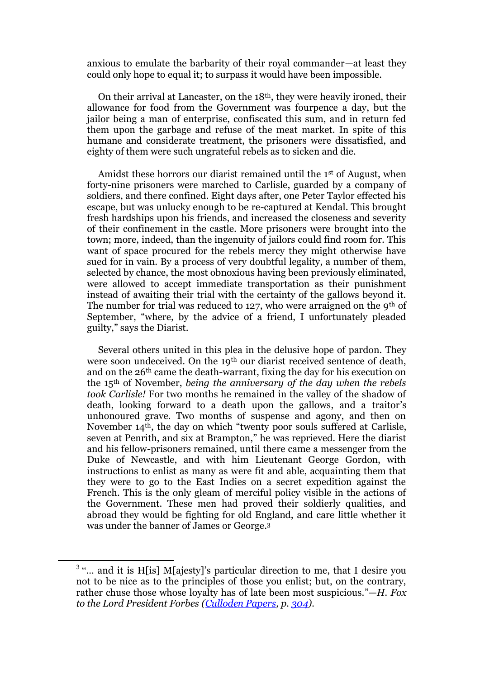anxious to emulate the barbarity of their royal commander—at least they could only hope to equal it; to surpass it would have been impossible.

On their arrival at Lancaster, on the 18th, they were heavily ironed, their allowance for food from the Government was fourpence a day, but the jailor being a man of enterprise, confiscated this sum, and in return fed them upon the garbage and refuse of the meat market. In spite of this humane and considerate treatment, the prisoners were dissatisfied, and eighty of them were such ungrateful rebels as to sicken and die.

Amidst these horrors our diarist remained until the 1st of August, when forty-nine prisoners were marched to Carlisle, guarded by a company of soldiers, and there confined. Eight days after, one Peter Taylor effected his escape, but was unlucky enough to be re-captured at Kendal. This brought fresh hardships upon his friends, and increased the closeness and severity of their confinement in the castle. More prisoners were brought into the town; more, indeed, than the ingenuity of jailors could find room for. This want of space procured for the rebels mercy they might otherwise have sued for in vain. By a process of very doubtful legality, a number of them, selected by chance, the most obnoxious having been previously eliminated, were allowed to accept immediate transportation as their punishment instead of awaiting their trial with the certainty of the gallows beyond it. The number for trial was reduced to 127, who were arraigned on the 9<sup>th</sup> of September, "where, by the advice of a friend, I unfortunately pleaded guilty," says the Diarist.

Several others united in this plea in the delusive hope of pardon. They were soon undeceived. On the 19<sup>th</sup> our diarist received sentence of death, and on the 26th came the death-warrant, fixing the day for his execution on the 15th of November, *being the anniversary of the day when the rebels took Carlisle!* For two months he remained in the valley of the shadow of death, looking forward to a death upon the gallows, and a traitor's unhonoured grave. Two months of suspense and agony, and then on November 14th, the day on which "twenty poor souls suffered at Carlisle, seven at Penrith, and six at Brampton," he was reprieved. Here the diarist and his fellow-prisoners remained, until there came a messenger from the Duke of Newcastle, and with him Lieutenant George Gordon, with instructions to enlist as many as were fit and able, acquainting them that they were to go to the East Indies on a secret expedition against the French. This is the only gleam of merciful policy visible in the actions of the Government. These men had proved their soldierly qualities, and abroad they would be fighting for old England, and care little whether it was under the banner of James or George.<sup>3</sup>

.

 $3^{\circ}$ ... and it is H[is] M[ajesty]'s particular direction to me, that I desire you not to be nice as to the principles of those you enlist; but, on the contrary, rather chuse those whose loyalty has of late been most suspicious."—*H. Fox to the Lord President Forbes [\(Culloden Papers,](http://books.google.com/books?id=hJ0uAAAAMAAJ) p. [304\)](http://books.google.com/books?id=hJ0uAAAAMAAJ&dq=Forbes%20Culloden%20Papers&pg=PA304#v=onepage&q&f=false).*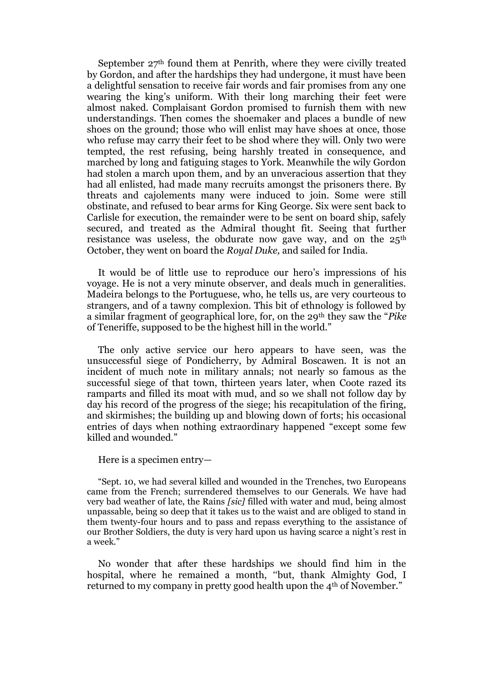September  $27<sup>th</sup>$  found them at Penrith, where they were civilly treated by Gordon, and after the hardships they had undergone, it must have been a delightful sensation to receive fair words and fair promises from any one wearing the king"s uniform. With their long marching their feet were almost naked. Complaisant Gordon promised to furnish them with new understandings. Then comes the shoemaker and places a bundle of new shoes on the ground; those who will enlist may have shoes at once, those who refuse may carry their feet to be shod where they will. Only two were tempted, the rest refusing, being harshly treated in consequence, and marched by long and fatiguing stages to York. Meanwhile the wily Gordon had stolen a march upon them, and by an unveracious assertion that they had all enlisted, had made many recruits amongst the prisoners there. By threats and cajolements many were induced to join. Some were still obstinate, and refused to bear arms for King George. Six were sent back to Carlisle for execution, the remainder were to be sent on board ship, safely secured, and treated as the Admiral thought fit. Seeing that further resistance was useless, the obdurate now gave way, and on the 25<sup>th</sup> October, they went on board the *Royal Duke,* and sailed for India.

It would be of little use to reproduce our hero"s impressions of his voyage. He is not a very minute observer, and deals much in generalities. Madeira belongs to the Portuguese, who, he tells us, are very courteous to strangers, and of a tawny complexion. This bit of ethnology is followed by a similar fragment of geographical lore, for, on the 29th they saw the "*Pike*  of Teneriffe, supposed to be the highest hill in the world."

The only active service our hero appears to have seen, was the unsuccessful siege of Pondicherry, by Admiral Boscawen. It is not an incident of much note in military annals; not nearly so famous as the successful siege of that town, thirteen years later, when Coote razed its ramparts and filled its moat with mud, and so we shall not follow day by day his record of the progress of the siege; his recapitulation of the firing, and skirmishes; the building up and blowing down of forts; his occasional entries of days when nothing extraordinary happened "except some few killed and wounded."

## Here is a specimen entry—

"Sept. 10, we had several killed and wounded in the Trenches, two Europeans came from the French; surrendered themselves to our Generals. We have had very bad weather of late, the Rains *[sic]* filled with water and mud, being almost unpassable, being so deep that it takes us to the waist and are obliged to stand in them twenty-four hours and to pass and repass everything to the assistance of our Brother Soldiers, the duty is very hard upon us having scarce a night's rest in a week."

No wonder that after these hardships we should find him in the hospital, where he remained a month, "but, thank Almighty God, I returned to my company in pretty good health upon the 4th of November."